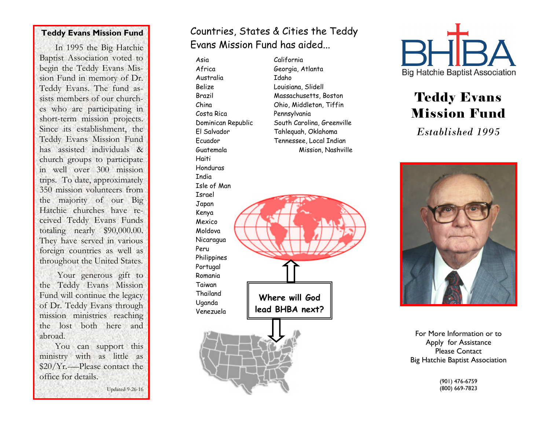#### **Teddy Evans Mission Fund**

In 1995 the Big Hatchie Baptist Association voted to begin the Teddy Evans Mission Fund in memory of Dr. Teddy Evans. The fund assists members of our churches who are participating in short-term mission projects. Since its establishment, the Teddy Evans Mission Fund has assisted individuals & church groups to participate in well over 300 mission trips. To date, approximately 350 mission volunteers from the majority of our Big Hatchie churches have received Teddy Evans Funds totaling nearly \$90,000.00. They have served in various foreign countries as well as throughout the United States. Your generous gift to the Teddy Evans Mission Fund will continue the legacy of Dr. Teddy Evans through mission ministries reaching the lost both here and abroad. You can support this ministry with as little as \$20/Yr.-—Please contact the office for details. Updated 9-26-16

# Countries, States & Cities the Teddy Evans Mission Fund has aided...

Asia Africa Australia Belize Brazil China Costa Rica Dominican Republic El Salvador Ecuador Guatemala Haiti Honduras India Isle of Man Israel Japan Kenya Mexico Moldova Nicaragua Peru Philippines Portugal Romania Taiwan Thailand Uganda Venezuela **Where will God lead BHBA next?** 

California Georgia, Atlanta Idaho Louisiana, Slidell Massachusetts, Boston Ohio, Middleton, Tiffin Pennsylvania South Carolina, Greenville Tahlequah, Oklahoma Tennessee, Local Indian Mission, Nashville



# Teddy Evans Mission Fund

*Established 1995*



For More Information or to Apply for Assistance Please Contact Big Hatchie Baptist Association

> (901) 476-6759 (800) 669-7823